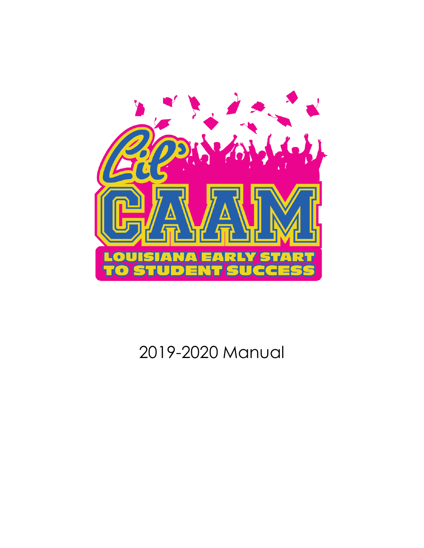

# 2019-2020 Manual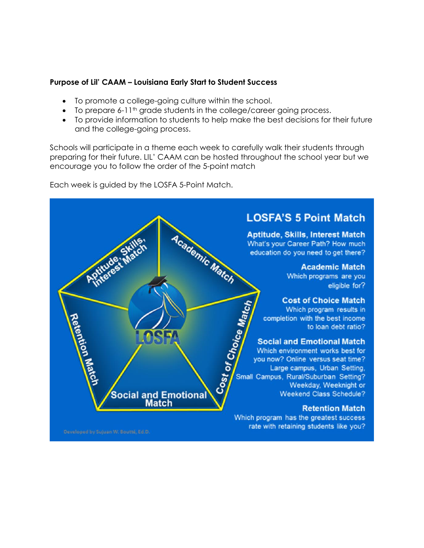#### **Purpose of Lil' CAAM – Louisiana Early Start to Student Success**

- To promote a college-going culture within the school.
- To prepare 6-11<sup>th</sup> grade students in the college/career going process.
- To provide information to students to help make the best decisions for their future and the college-going process.

Schools will participate in a theme each week to carefully walk their students through preparing for their future. LIL' CAAM can be hosted throughout the school year but we encourage you to follow the order of the 5-point match

Each week is guided by the LOSFA 5-Point Match.

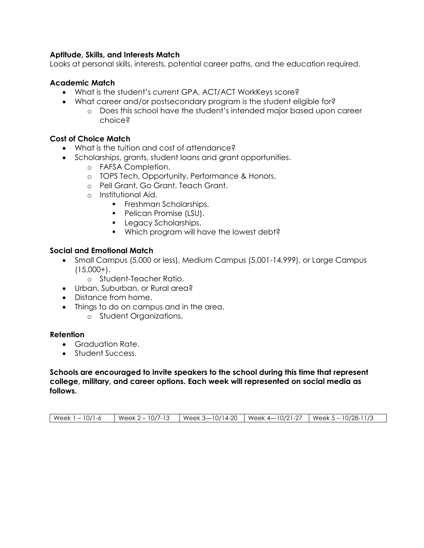#### **Aptitude, Skills, and Interests Match**

Looks at personal skills, interests, potential career paths, and the education required.

#### **Academic Match**

- What is the student's current GPA, ACT/ACT WorkKeys score?
- What career and/or postsecondary program is the student eligible for?
	- o Does this school have the student's intended major based upon career choice?

#### **Cost of Choice Match**

- What is the tuition and cost of attendance?
- Scholarships, grants, student loans and grant opportunities.
	- o FAFSA Completion.
	- o TOPS Tech, Opportunity, Performance & Honors.
	- o Pell Grant, Go Grant, Teach Grant.
	- o Institutional Aid.
		- **Freshman Scholarships.**
		- Pelican Promise (LSU).
		- **Legacy Scholarships.**
		- **Which program will have the lowest debt?**

#### **Social and Emotional Match**

- Small Campus (5,000 or less), Medium Campus (5,001-14,999), or Large Campus  $(15,000+)$ .
	- o Student-Teacher Ratio.
- Urban, Suburban, or Rural area?
- Distance from home.
- Things to do on campus and in the area.
	- o Student Organizations.

#### **Retention**

- Graduation Rate.
- Student Success.

#### **Schools are encouraged to invite speakers to the school during this time that represent college, military, and career options. Each week will represented on social media as follows.**

| Week 1 – 10/1-6 |  | Week 2 – 10/7-13    Week 3—10/14-20   Week 4—10/21-27   Week 5 – 10/28-11/3 |
|-----------------|--|-----------------------------------------------------------------------------|
|                 |  |                                                                             |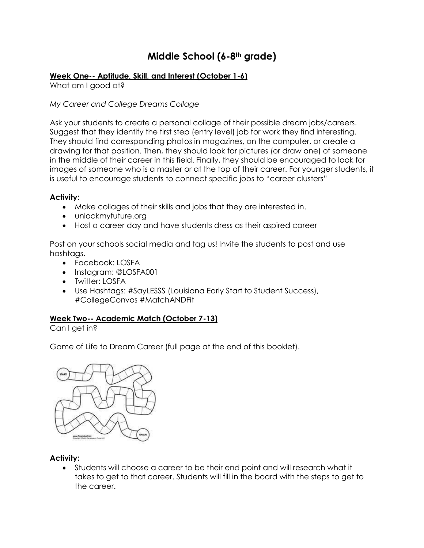# **Middle School (6-8th grade)**

# **Week One-- Aptitude, Skill, and Interest (October 1-6)**

What am I good at?

*My Career and College Dreams Collage*

Ask your students to create a personal collage of their possible dream jobs/careers. Suggest that they identify the first step (entry level) job for work they find interesting. They should find corresponding photos in magazines, on the computer, or create a drawing for that position. Then, they should look for pictures (or draw one) of someone in the middle of their career in this field. Finally, they should be encouraged to look for images of someone who is a master or at the top of their career. For younger students, it is useful to encourage students to connect specific jobs to "career clusters"

# **Activity:**

- Make collages of their skills and jobs that they are interested in.
- unlockmyfuture.org
- Host a career day and have students dress as their aspired career

Post on your schools social media and tag us! Invite the students to post and use hashtags.

- Facebook: LOSFA
- Instagram: @LOSFA001
- Twitter: LOSFA
- Use Hashtags: #SayLESSS (Louisiana Early Start to Student Success), #CollegeConvos #MatchANDFit

# **Week Two-- Academic Match (October 7-13)**

Can I get in?

Game of Life to Dream Career (full page at the end of this booklet).



# **Activity:**

 Students will choose a career to be their end point and will research what it takes to get to that career. Students will fill in the board with the steps to get to the career.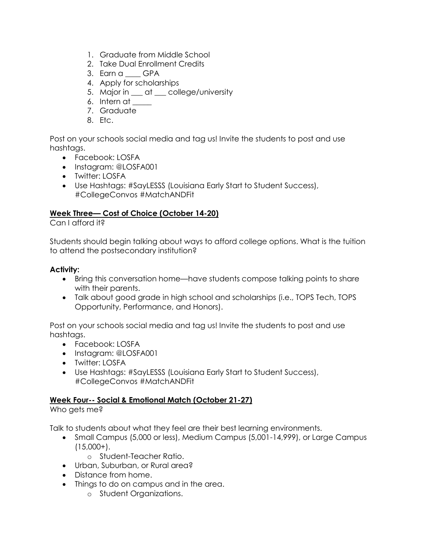- 1. Graduate from Middle School
- 2. Take Dual Enrollment Credits
- 3. Earn a \_\_\_\_ GPA
- 4. Apply for scholarships
- 5. Major in \_\_\_ at \_\_\_ college/university
- 6. Intern at
- 7. Graduate
- 8. Etc.

Post on your schools social media and tag us! Invite the students to post and use hashtags.

- Facebook: LOSFA
- Instagram: @LOSFA001
- Twitter: LOSFA
- Use Hashtags: #SayLESSS (Louisiana Early Start to Student Success), #CollegeConvos #MatchANDFit

# **Week Three— Cost of Choice (October 14-20)**

Can I afford it?

Students should begin talking about ways to afford college options. What is the tuition to attend the postsecondary institution?

# **Activity:**

- Bring this conversation home—have students compose talking points to share with their parents.
- Talk about good grade in high school and scholarships (i.e., TOPS Tech, TOPS Opportunity, Performance, and Honors).

Post on your schools social media and tag us! Invite the students to post and use hashtags.

- Facebook: LOSFA
- Instagram: @LOSFA001
- Twitter: LOSFA
- Use Hashtags: #SayLESSS (Louisiana Early Start to Student Success), #CollegeConvos #MatchANDFit

# **Week Four-- Social & Emotional Match (October 21-27)**

Who gets me?

Talk to students about what they feel are their best learning environments.

- Small Campus (5,000 or less), Medium Campus (5,001-14,999), or Large Campus  $(15,000+)$ .
	- o Student-Teacher Ratio.
- Urban, Suburban, or Rural area?
- Distance from home.
- Things to do on campus and in the area.
	- o Student Organizations.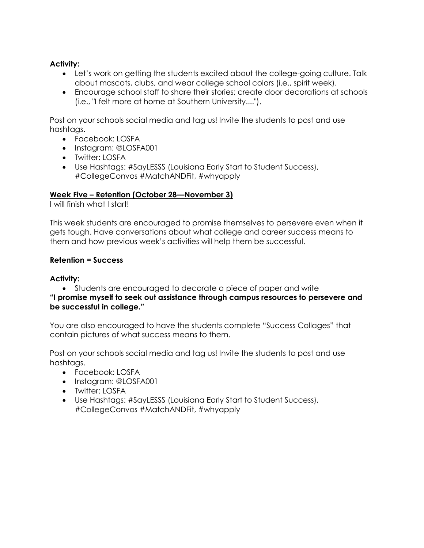# **Activity:**

- Let's work on getting the students excited about the college-going culture. Talk about mascots, clubs, and wear college school colors (i.e., spirit week).
- Encourage school staff to share their stories; create door decorations at schools (i.e., "I felt more at home at Southern University....").

Post on your schools social media and tag us! Invite the students to post and use hashtags.

- Facebook: LOSFA
- Instagram: @LOSFA001
- Twitter: LOSFA
- Use Hashtags: #SayLESSS (Louisiana Early Start to Student Success), #CollegeConvos #MatchANDFit, #whyapply

# **Week Five – Retention (October 28—November 3)**

I will finish what I start!

This week students are encouraged to promise themselves to persevere even when it gets tough. Have conversations about what college and career success means to them and how previous week's activities will help them be successful.

#### **Retention = Success**

# **Activity:**

 Students are encouraged to decorate a piece of paper and write **"I promise myself to seek out assistance through campus resources to persevere and be successful in college."** 

You are also encouraged to have the students complete "Success Collages" that contain pictures of what success means to them.

Post on your schools social media and tag us! Invite the students to post and use hashtaas.

- Facebook: LOSFA
- Instagram: @LOSFA001
- Twitter: LOSFA
- Use Hashtags: #SayLESSS (Louisiana Early Start to Student Success), #CollegeConvos #MatchANDFit, #whyapply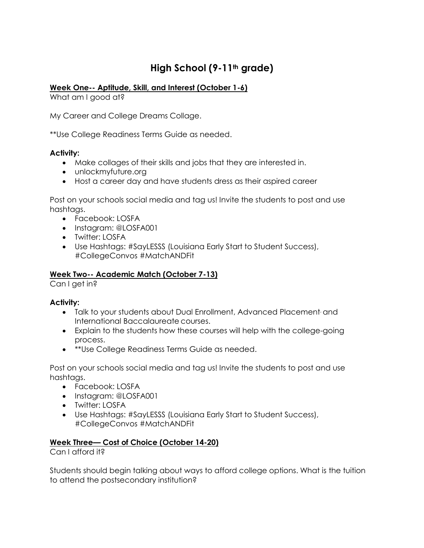# **High School (9-11th grade)**

# **Week One-- Aptitude, Skill, and Interest (October 1-6)**

What am I good at?

My Career and College Dreams Collage.

\*\*Use College Readiness Terms Guide as needed.

# **Activity:**

- Make collages of their skills and jobs that they are interested in.
- unlockmyfuture.org
- Host a career day and have students dress as their aspired career

Post on your schools social media and tag us! Invite the students to post and use hashtags.

- Facebook: LOSFA
- Instagram: @LOSFA001
- Twitter: LOSFA
- Use Hashtags: #SayLESSS (Louisiana Early Start to Student Success), #CollegeConvos #MatchANDFit

# **Week Two-- Academic Match (October 7-13)**

Can I get in?

# **Activity:**

- Talk to your students about Dual Enrollment, Advanced Placement, and International Baccalaureate courses.
- Explain to the students how these courses will help with the college-going process.
- **\*\*Use College Readiness Terms Guide as needed.**

Post on your schools social media and tag us! Invite the students to post and use hashtags.

- Facebook: LOSFA
- Instagram: @LOSFA001
- Twitter: LOSFA
- Use Hashtags: #SayLESSS (Louisiana Early Start to Student Success), #CollegeConvos #MatchANDFit

# **Week Three— Cost of Choice (October 14-20)**

Can I afford it?

Students should begin talking about ways to afford college options. What is the tuition to attend the postsecondary institution?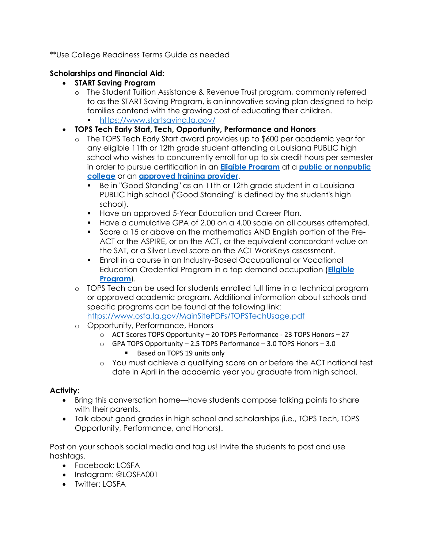\*\*Use College Readiness Terms Guide as needed

# **Scholarships and Financial Aid:**

- **START Saving Program**
	- o The Student Tuition Assistance & Revenue Trust program, commonly referred to as the START Saving Program, is an innovative saving plan designed to help families contend with the growing cost of educating their children.
		- <https://www.startsaving.la.gov/>
- **TOPS Tech Early Start, Tech, Opportunity, Performance and Honors**
	- o The TOPS Tech Early Start award provides up to \$600 per academic year for any eligible 11th or 12th grade student attending a Louisiana PUBLIC high school who wishes to concurrently enroll for up to six credit hours per semester in order to pursue certification in an **[Eligible Program](https://www.osfa.la.gov/MainSitePDFs/ttes_eligible_programs.pdf)** at a **[public or nonpublic](https://www.osfa.la.gov/linksto.htm)  [college](https://www.osfa.la.gov/linksto.htm)** or an **[approved training provider](https://www.osfa.la.gov/MainSitePDFs/ttes_training_providers.pdf)**.
		- Be in "Good Standing" as an 11th or 12th grade student in a Louisiana PUBLIC high school ("Good Standing" is defined by the student's high school).
		- **Have an approved 5-Year Education and Career Plan.**
		- Have a cumulative GPA of 2.00 on a 4.00 scale on all courses attempted.
		- Score a 15 or above on the mathematics AND English portion of the Pre-ACT or the ASPIRE, or on the ACT, or the equivalent concordant value on the SAT, or a Silver Level score on the ACT WorkKeys assessment.
		- Enroll in a course in an Industry-Based Occupational or Vocational Education Credential Program in a top demand occupation (**[Eligible](https://www.osfa.la.gov/MainSitePDFs/ttes_eligible_programs.pdf)  [Program](https://www.osfa.la.gov/MainSitePDFs/ttes_eligible_programs.pdf)**).
	- o TOPS Tech can be used for students enrolled full time in a technical program or approved academic program. Additional information about schools and specific programs can be found at the following link: <https://www.osfa.la.gov/MainSitePDFs/TOPSTechUsage.pdf>
	- o Opportunity, Performance, Honors
		- o ACT Scores TOPS Opportunity 20 TOPS Performance 23 TOPS Honors 27
		- o GPA TOPS Opportunity 2.5 TOPS Performance 3.0 TOPS Honors 3.0 ■ Based on TOPS 19 units only
		- o You must achieve a qualifying score on or before the ACT national test date in April in the academic year you graduate from high school.

# **Activity:**

- Bring this conversation home—have students compose talking points to share with their parents.
- Talk about good grades in high school and scholarships (i.e., TOPS Tech, TOPS Opportunity, Performance, and Honors).

Post on your schools social media and tag us! Invite the students to post and use hashtags.

- Facebook: LOSFA
- Instagram: @LOSFA001
- Twitter: LOSFA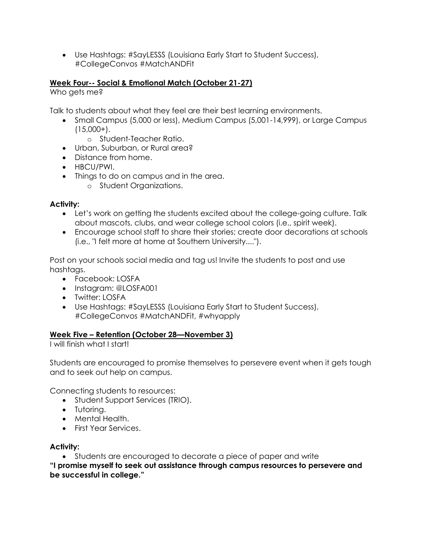Use Hashtags: #SayLESSS (Louisiana Early Start to Student Success), #CollegeConvos #MatchANDFit

# **Week Four-- Social & Emotional Match (October 21-27)**

Who gets me?

Talk to students about what they feel are their best learning environments.

- Small Campus (5,000 or less), Medium Campus (5,001-14,999), or Large Campus  $(15,000+)$ .
	- o Student-Teacher Ratio.
- Urban, Suburban, or Rural area?
- Distance from home.
- HBCU/PWI.
- Things to do on campus and in the area.
	- o Student Organizations.

# **Activity:**

- Let's work on getting the students excited about the college-going culture. Talk about mascots, clubs, and wear college school colors (i.e., spirit week).
- Encourage school staff to share their stories; create door decorations at schools (i.e., "I felt more at home at Southern University....").

Post on your schools social media and tag us! Invite the students to post and use hashtags.

- Facebook: LOSFA
- Instagram: @LOSFA001
- Twitter: LOSFA
- Use Hashtags: #SayLESSS (Louisiana Early Start to Student Success), #CollegeConvos #MatchANDFit, #whyapply

# **Week Five – Retention (October 28—November 3)**

I will finish what I start!

Students are encouraged to promise themselves to persevere event when it gets tough and to seek out help on campus.

Connecting students to resources:

- Student Support Services (TRIO).
- Tutoring.
- Mental Health.
- **•** First Year Services.

# **Activity:**

Students are encouraged to decorate a piece of paper and write

**"I promise myself to seek out assistance through campus resources to persevere and be successful in college."**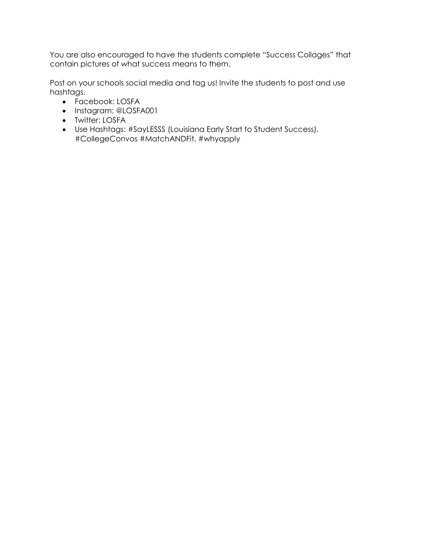You are also encouraged to have the students complete "Success Collages" that contain pictures of what success means to them.

Post on your schools social media and tag us! Invite the students to post and use hashtags.

- Facebook: LOSFA
- Instagram: @LOSFA001
- Twitter: LOSFA
- Use Hashtags: #SayLESSS (Louisiana Early Start to Student Success), #CollegeConvos #MatchANDFit, #whyapply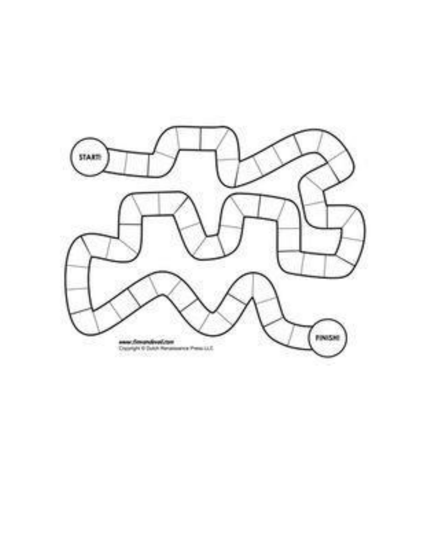